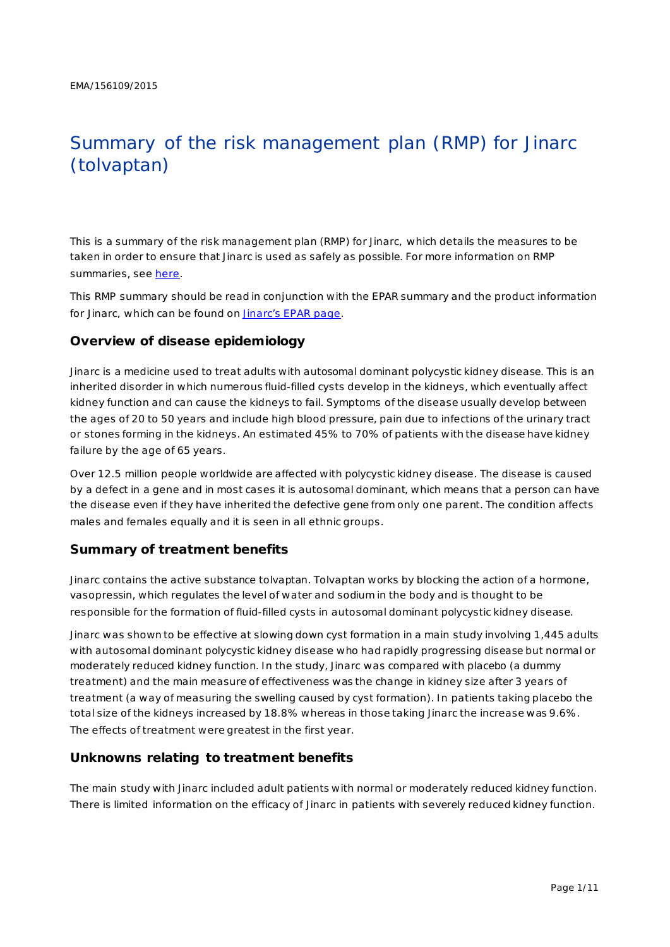# Summary of the risk management plan (RMP) for Jinarc (tolvaptan)

This is a summary of the risk management plan (RMP) for Jinarc, which details the measures to be taken in order to ensure that Jinarc is used as safely as possible. For more information on RMP summaries, se[e here.](http://www.ema.europa.eu/docs/en_GB/document_library/Other/2014/05/WC500166101.pdf)

This RMP summary should be read in conjunction with the EPAR summary and the product information for Jinarc, which can be found on [Jinarc's EPAR page](http://www.ema.europa.eu/ema/index.jsp?curl=pages/medicines/human/medicines/002788/human_med_001857.jsp).

## **Overview of disease epidemiology**

Jinarc is a medicine used to treat adults with autosomal dominant polycystic kidney disease. This is an inherited disorder in which numerous fluid-filled cysts develop in the kidneys, which eventually affect kidney function and can cause the kidneys to fail. Symptoms of the disease usually develop between the ages of 20 to 50 years and include high blood pressure, pain due to infections of the urinary tract or stones forming in the kidneys. An estimated 45% to 70% of patients with the disease have kidney failure by the age of 65 years.

Over 12.5 million people worldwide are affected with polycystic kidney disease. The disease is caused by a defect in a gene and in most cases it is autosomal dominant, which means that a person can have the disease even if they have inherited the defective gene from only one parent. The condition affects males and females equally and it is seen in all ethnic groups.

## **Summary of treatment benefits**

Jinarc contains the active substance tolvaptan. Tolvaptan works by blocking the action of a hormone, vasopressin, which regulates the level of water and sodium in the body and is thought to be responsible for the formation of fluid-filled cysts in autosomal dominant polycystic kidney disease.

Jinarc was shown to be effective at slowing down cyst formation in a main study involving 1,445 adults with autosomal dominant polycystic kidney disease who had rapidly progressing disease but normal or moderately reduced kidney function. In the study, Jinarc was compared with placebo (a dummy treatment) and the main measure of effectiveness was the change in kidney size after 3 years of treatment (a way of measuring the swelling caused by cyst formation). In patients taking placebo the total size of the kidneys increased by 18.8% whereas in those taking Jinarc the increase was 9.6%. The effects of treatment were greatest in the first year.

## **Unknowns relating to treatment benefits**

The main study with Jinarc included adult patients with normal or moderately reduced kidney function. There is limited information on the efficacy of Jinarc in patients with severely reduced kidney function.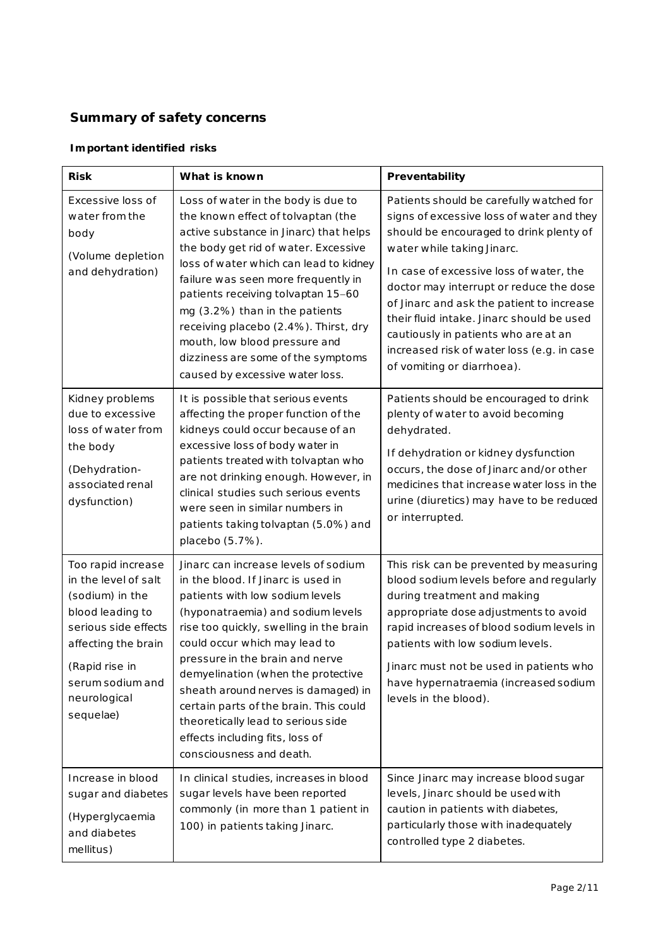## **Summary of safety concerns**

## *Important identified risks*

| <b>Risk</b>                                                                                                                                                                                         | What is known                                                                                                                                                                                                                                                                                                                                                                                                                                                                                 | Preventability                                                                                                                                                                                                                                                                                                                                                                                                                                                     |  |
|-----------------------------------------------------------------------------------------------------------------------------------------------------------------------------------------------------|-----------------------------------------------------------------------------------------------------------------------------------------------------------------------------------------------------------------------------------------------------------------------------------------------------------------------------------------------------------------------------------------------------------------------------------------------------------------------------------------------|--------------------------------------------------------------------------------------------------------------------------------------------------------------------------------------------------------------------------------------------------------------------------------------------------------------------------------------------------------------------------------------------------------------------------------------------------------------------|--|
| Excessive loss of<br>water from the<br>body<br>(Volume depletion<br>and dehydration)                                                                                                                | Loss of water in the body is due to<br>the known effect of tolvaptan (the<br>active substance in Jinarc) that helps<br>the body get rid of water. Excessive<br>loss of water which can lead to kidney<br>failure was seen more frequently in<br>patients receiving tolvaptan 15-60<br>mg (3.2%) than in the patients<br>receiving placebo (2.4%). Thirst, dry<br>mouth, low blood pressure and<br>dizziness are some of the symptoms<br>caused by excessive water loss.                       | Patients should be carefully watched for<br>signs of excessive loss of water and they<br>should be encouraged to drink plenty of<br>water while taking Jinarc.<br>In case of excessive loss of water, the<br>doctor may interrupt or reduce the dose<br>of Jinarc and ask the patient to increase<br>their fluid intake. Jinarc should be used<br>cautiously in patients who are at an<br>increased risk of water loss (e.g. in case<br>of vomiting or diarrhoea). |  |
| Kidney problems<br>due to excessive<br>loss of water from<br>the body<br>(Dehydration-<br>associated renal<br>dysfunction)                                                                          | It is possible that serious events<br>affecting the proper function of the<br>kidneys could occur because of an<br>excessive loss of body water in<br>patients treated with tolvaptan who<br>are not drinking enough. However, in<br>clinical studies such serious events<br>were seen in similar numbers in<br>patients taking tolvaptan (5.0%) and<br>placebo (5.7%).                                                                                                                       | Patients should be encouraged to drink<br>plenty of water to avoid becoming<br>dehydrated.<br>If dehydration or kidney dysfunction<br>occurs, the dose of Jinarc and/or other<br>medicines that increase water loss in the<br>urine (diuretics) may have to be reduced<br>or interrupted.                                                                                                                                                                          |  |
| Too rapid increase<br>in the level of salt<br>(sodium) in the<br>blood leading to<br>serious side effects<br>affecting the brain<br>(Rapid rise in<br>serum sodium and<br>neurological<br>sequelae) | Jinarc can increase levels of sodium<br>in the blood. If Jinarc is used in<br>patients with low sodium levels<br>(hyponatraemia) and sodium levels<br>rise too quickly, swelling in the brain<br>could occur which may lead to<br>pressure in the brain and nerve<br>demyelination (when the protective<br>sheath around nerves is damaged) in<br>certain parts of the brain. This could<br>theoretically lead to serious side<br>effects including fits, loss of<br>consciousness and death. | This risk can be prevented by measuring<br>blood sodium levels before and regularly<br>during treatment and making<br>appropriate dose adjustments to avoid<br>rapid increases of blood sodium levels in<br>patients with low sodium levels.<br>Jinarc must not be used in patients who<br>have hypernatraemia (increased sodium<br>levels in the blood).                                                                                                          |  |
| Increase in blood<br>sugar and diabetes<br>(Hyperglycaemia<br>and diabetes<br>mellitus)                                                                                                             | In clinical studies, increases in blood<br>sugar levels have been reported<br>commonly (in more than 1 patient in<br>100) in patients taking Jinarc.                                                                                                                                                                                                                                                                                                                                          | Since Jinarc may increase blood sugar<br>levels, Jinarc should be used with<br>caution in patients with diabetes,<br>particularly those with inadequately<br>controlled type 2 diabetes.                                                                                                                                                                                                                                                                           |  |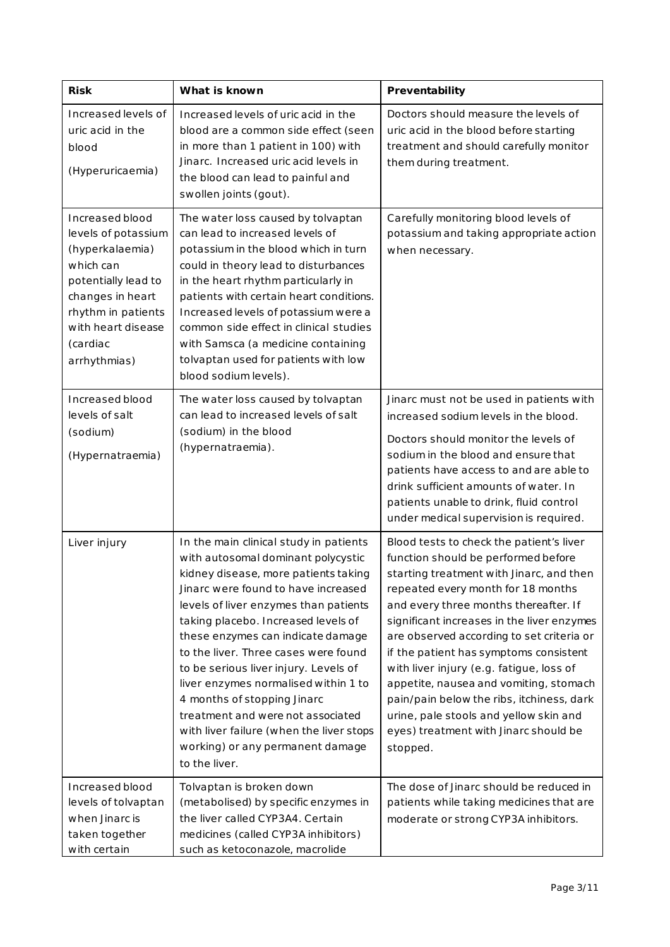| <b>Risk</b>                                                                                                                                                                               | What is known                                                                                                                                                                                                                                                                                                                                                                                                                                                                                                                                                                  | Preventability                                                                                                                                                                                                                                                                                                                                                                                                                                                                                                                                                                    |  |
|-------------------------------------------------------------------------------------------------------------------------------------------------------------------------------------------|--------------------------------------------------------------------------------------------------------------------------------------------------------------------------------------------------------------------------------------------------------------------------------------------------------------------------------------------------------------------------------------------------------------------------------------------------------------------------------------------------------------------------------------------------------------------------------|-----------------------------------------------------------------------------------------------------------------------------------------------------------------------------------------------------------------------------------------------------------------------------------------------------------------------------------------------------------------------------------------------------------------------------------------------------------------------------------------------------------------------------------------------------------------------------------|--|
| Increased levels of<br>uric acid in the<br>blood<br>(Hyperuricaemia)                                                                                                                      | Increased levels of uric acid in the<br>blood are a common side effect (seen<br>in more than 1 patient in 100) with<br>Jinarc. Increased uric acid levels in<br>the blood can lead to painful and<br>swollen joints (gout).                                                                                                                                                                                                                                                                                                                                                    | Doctors should measure the levels of<br>uric acid in the blood before starting<br>treatment and should carefully monitor<br>them during treatment.                                                                                                                                                                                                                                                                                                                                                                                                                                |  |
| Increased blood<br>levels of potassium<br>(hyperkalaemia)<br>which can<br>potentially lead to<br>changes in heart<br>rhythm in patients<br>with heart disease<br>(cardiac<br>arrhythmias) | The water loss caused by tolvaptan<br>can lead to increased levels of<br>potassium in the blood which in turn<br>could in theory lead to disturbances<br>in the heart rhythm particularly in<br>patients with certain heart conditions.<br>Increased levels of potassium were a<br>common side effect in clinical studies<br>with Samsca (a medicine containing<br>tolvaptan used for patients with low<br>blood sodium levels).                                                                                                                                               | Carefully monitoring blood levels of<br>potassium and taking appropriate action<br>when necessary.                                                                                                                                                                                                                                                                                                                                                                                                                                                                                |  |
| Increased blood<br>levels of salt<br>(sodium)<br>(Hypernatraemia)                                                                                                                         | The water loss caused by tolvaptan<br>can lead to increased levels of salt<br>(sodium) in the blood<br>(hypernatraemia).                                                                                                                                                                                                                                                                                                                                                                                                                                                       | Jinarc must not be used in patients with<br>increased sodium levels in the blood.<br>Doctors should monitor the levels of<br>sodium in the blood and ensure that<br>patients have access to and are able to<br>drink sufficient amounts of water. In<br>patients unable to drink, fluid control<br>under medical supervision is required.                                                                                                                                                                                                                                         |  |
| Liver injury                                                                                                                                                                              | In the main clinical study in patients<br>with autosomal dominant polycystic<br>kidney disease, more patients taking<br>Jinarc were found to have increased<br>levels of liver enzymes than patients<br>taking placebo. Increased levels of<br>these enzymes can indicate damage<br>to the liver. Three cases were found<br>to be serious liver injury. Levels of<br>liver enzymes normalised within 1 to<br>4 months of stopping Jinarc<br>treatment and were not associated<br>with liver failure (when the liver stops<br>working) or any permanent damage<br>to the liver. | Blood tests to check the patient's liver<br>function should be performed before<br>starting treatment with Jinarc, and then<br>repeated every month for 18 months<br>and every three months thereafter. If<br>significant increases in the liver enzymes<br>are observed according to set criteria or<br>if the patient has symptoms consistent<br>with liver injury (e.g. fatigue, loss of<br>appetite, nausea and vomiting, stomach<br>pain/pain below the ribs, itchiness, dark<br>urine, pale stools and yellow skin and<br>eyes) treatment with Jinarc should be<br>stopped. |  |
| Increased blood<br>levels of tolvaptan<br>when Jinarc is<br>taken together<br>with certain                                                                                                | Tolvaptan is broken down<br>(metabolised) by specific enzymes in<br>the liver called CYP3A4. Certain<br>medicines (called CYP3A inhibitors)<br>such as ketoconazole, macrolide                                                                                                                                                                                                                                                                                                                                                                                                 | The dose of Jinarc should be reduced in<br>patients while taking medicines that are<br>moderate or strong CYP3A inhibitors.                                                                                                                                                                                                                                                                                                                                                                                                                                                       |  |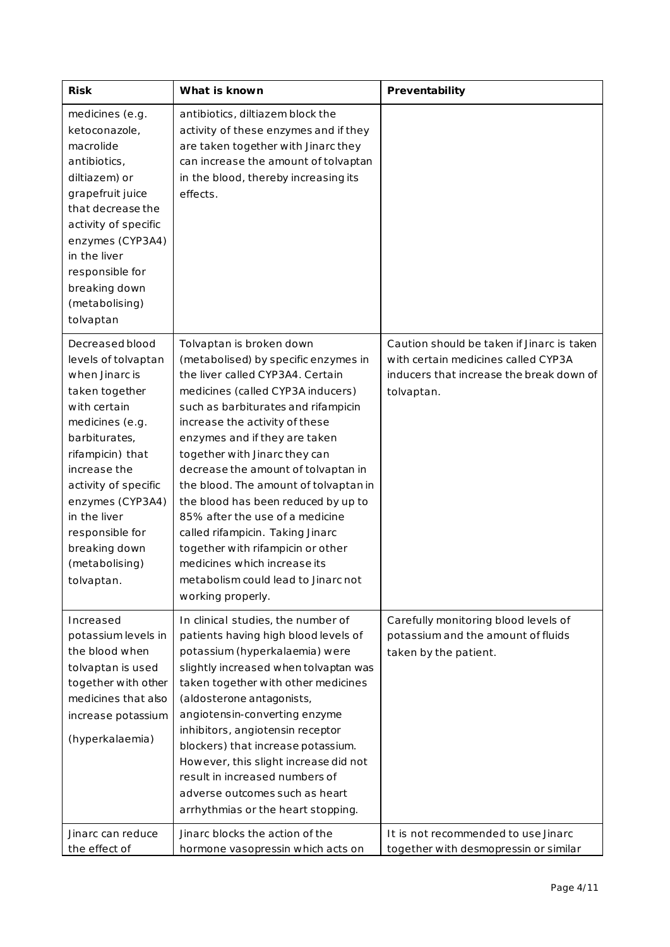| <b>Risk</b>                                                                                                                                                                                                                                                                                        | What is known                                                                                                                                                                                                                                                                                                                                                                                                                                                                                                                                                                                                       | Preventability                                                                                                                              |
|----------------------------------------------------------------------------------------------------------------------------------------------------------------------------------------------------------------------------------------------------------------------------------------------------|---------------------------------------------------------------------------------------------------------------------------------------------------------------------------------------------------------------------------------------------------------------------------------------------------------------------------------------------------------------------------------------------------------------------------------------------------------------------------------------------------------------------------------------------------------------------------------------------------------------------|---------------------------------------------------------------------------------------------------------------------------------------------|
| medicines (e.g.<br>ketoconazole,<br>macrolide<br>antibiotics,<br>diltiazem) or<br>grapefruit juice<br>that decrease the<br>activity of specific<br>enzymes (CYP3A4)<br>in the liver<br>responsible for<br>breaking down<br>(metabolising)<br>tolvaptan                                             | antibiotics, diltiazem block the<br>activity of these enzymes and if they<br>are taken together with Jinarc they<br>can increase the amount of tolvaptan<br>in the blood, thereby increasing its<br>effects.                                                                                                                                                                                                                                                                                                                                                                                                        |                                                                                                                                             |
| Decreased blood<br>levels of tolvaptan<br>when Jinarc is<br>taken together<br>with certain<br>medicines (e.g.<br>barbiturates,<br>rifampicin) that<br>increase the<br>activity of specific<br>enzymes (CYP3A4)<br>in the liver<br>responsible for<br>breaking down<br>(metabolising)<br>tolvaptan. | Tolvaptan is broken down<br>(metabolised) by specific enzymes in<br>the liver called CYP3A4. Certain<br>medicines (called CYP3A inducers)<br>such as barbiturates and rifampicin<br>increase the activity of these<br>enzymes and if they are taken<br>together with Jinarc they can<br>decrease the amount of tolvaptan in<br>the blood. The amount of tolvaptan in<br>the blood has been reduced by up to<br>85% after the use of a medicine<br>called rifampicin. Taking Jinarc<br>together with rifampicin or other<br>medicines which increase its<br>metabolism could lead to Jinarc not<br>working properly. | Caution should be taken if Jinarc is taken<br>with certain medicines called CYP3A<br>inducers that increase the break down of<br>tolvaptan. |
| Increased<br>potassium levels in<br>the blood when<br>tolvaptan is used<br>together with other<br>medicines that also<br>increase potassium<br>(hyperkalaemia)                                                                                                                                     | In clinical studies, the number of<br>patients having high blood levels of<br>potassium (hyperkalaemia) were<br>slightly increased when tolvaptan was<br>taken together with other medicines<br>(aldosterone antagonists,<br>angiotensin-converting enzyme<br>inhibitors, angiotensin receptor<br>blockers) that increase potassium.<br>However, this slight increase did not<br>result in increased numbers of<br>adverse outcomes such as heart<br>arrhythmias or the heart stopping.                                                                                                                             | Carefully monitoring blood levels of<br>potassium and the amount of fluids<br>taken by the patient.                                         |
| Jinarc can reduce<br>the effect of                                                                                                                                                                                                                                                                 | Jinarc blocks the action of the<br>hormone vasopressin which acts on                                                                                                                                                                                                                                                                                                                                                                                                                                                                                                                                                | It is not recommended to use Jinarc<br>together with desmopressin or similar                                                                |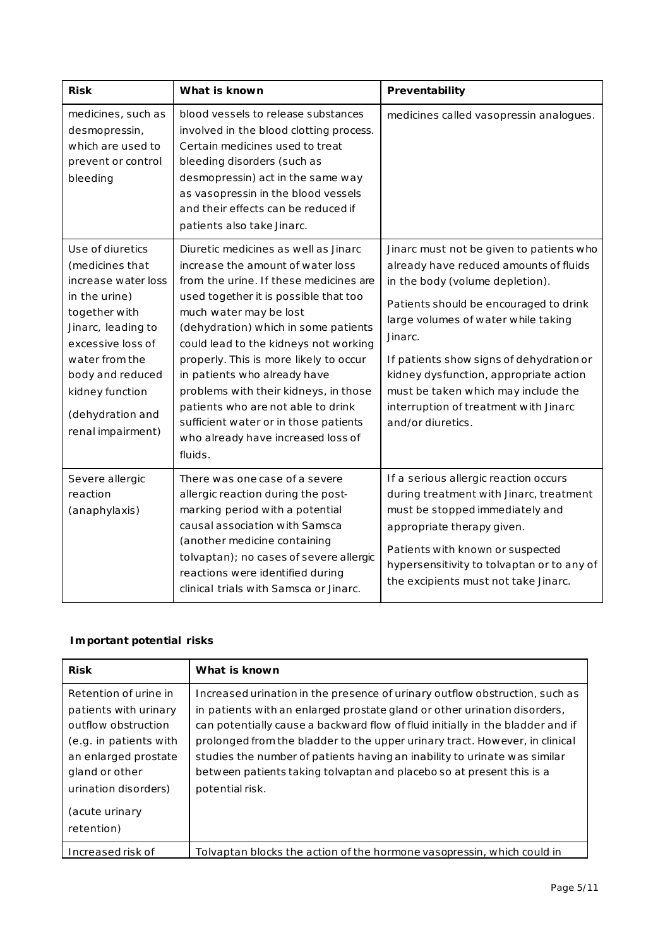| <b>Risk</b>                                                                                                                                                                                                                                | What is known                                                                                                                                                                                                                                                                                                                                                                                                                                                                                                              | Preventability                                                                                                                                                                                                                                                                                                                                                                                               |
|--------------------------------------------------------------------------------------------------------------------------------------------------------------------------------------------------------------------------------------------|----------------------------------------------------------------------------------------------------------------------------------------------------------------------------------------------------------------------------------------------------------------------------------------------------------------------------------------------------------------------------------------------------------------------------------------------------------------------------------------------------------------------------|--------------------------------------------------------------------------------------------------------------------------------------------------------------------------------------------------------------------------------------------------------------------------------------------------------------------------------------------------------------------------------------------------------------|
| medicines, such as<br>desmopressin,<br>which are used to<br>prevent or control<br>bleeding                                                                                                                                                 | blood vessels to release substances<br>involved in the blood clotting process.<br>Certain medicines used to treat<br>bleeding disorders (such as<br>desmopressin) act in the same way<br>as vasopressin in the blood vessels<br>and their effects can be reduced if<br>patients also take Jinarc.                                                                                                                                                                                                                          | medicines called vasopressin analogues.                                                                                                                                                                                                                                                                                                                                                                      |
| Use of diuretics<br>(medicines that)<br>increase water loss<br>in the urine)<br>together with<br>Jinarc, leading to<br>excessive loss of<br>water from the<br>body and reduced<br>kidney function<br>(dehydration and<br>renal impairment) | Diuretic medicines as well as Jinarc<br>increase the amount of water loss<br>from the urine. If these medicines are<br>used together it is possible that too<br>much water may be lost<br>(dehydration) which in some patients<br>could lead to the kidneys not working<br>properly. This is more likely to occur<br>in patients who already have<br>problems with their kidneys, in those<br>patients who are not able to drink<br>sufficient water or in those patients<br>who already have increased loss of<br>fluids. | Jinarc must not be given to patients who<br>already have reduced amounts of fluids<br>in the body (volume depletion).<br>Patients should be encouraged to drink<br>large volumes of water while taking<br>Jinarc.<br>If patients show signs of dehydration or<br>kidney dysfunction, appropriate action<br>must be taken which may include the<br>interruption of treatment with Jinarc<br>and/or diuretics. |
| Severe allergic<br>reaction<br>(anaphylaxis)                                                                                                                                                                                               | There was one case of a severe<br>allergic reaction during the post-<br>marking period with a potential<br>causal association with Samsca<br>(another medicine containing<br>tolvaptan); no cases of severe allergic<br>reactions were identified during<br>clinical trials with Samsca or Jinarc.                                                                                                                                                                                                                         | If a serious allergic reaction occurs<br>during treatment with Jinarc, treatment<br>must be stopped immediately and<br>appropriate therapy given.<br>Patients with known or suspected<br>hypersensitivity to tolvaptan or to any of<br>the excipients must not take Jinarc.                                                                                                                                  |

## *Important potential risks*

| <b>Risk</b>                                                                                                                                                                                       | What is known                                                                                                                                                                                                                                                                                                                                                                                                                                                                                      |
|---------------------------------------------------------------------------------------------------------------------------------------------------------------------------------------------------|----------------------------------------------------------------------------------------------------------------------------------------------------------------------------------------------------------------------------------------------------------------------------------------------------------------------------------------------------------------------------------------------------------------------------------------------------------------------------------------------------|
| Retention of urine in<br>patients with urinary<br>outflow obstruction<br>(e.g. in patients with<br>an enlarged prostate<br>gland or other<br>urination disorders)<br>(acute urinary<br>retention) | Increased urination in the presence of urinary outflow obstruction, such as<br>in patients with an enlarged prostate gland or other urination disorders,<br>can potentially cause a backward flow of fluid initially in the bladder and if<br>prolonged from the bladder to the upper urinary tract. However, in clinical<br>studies the number of patients having an inability to urinate was similar<br>between patients taking tolvaptan and placebo so at present this is a<br>potential risk. |
| Increased risk of                                                                                                                                                                                 | Tolvaptan blocks the action of the hormone vasopressin, which could in                                                                                                                                                                                                                                                                                                                                                                                                                             |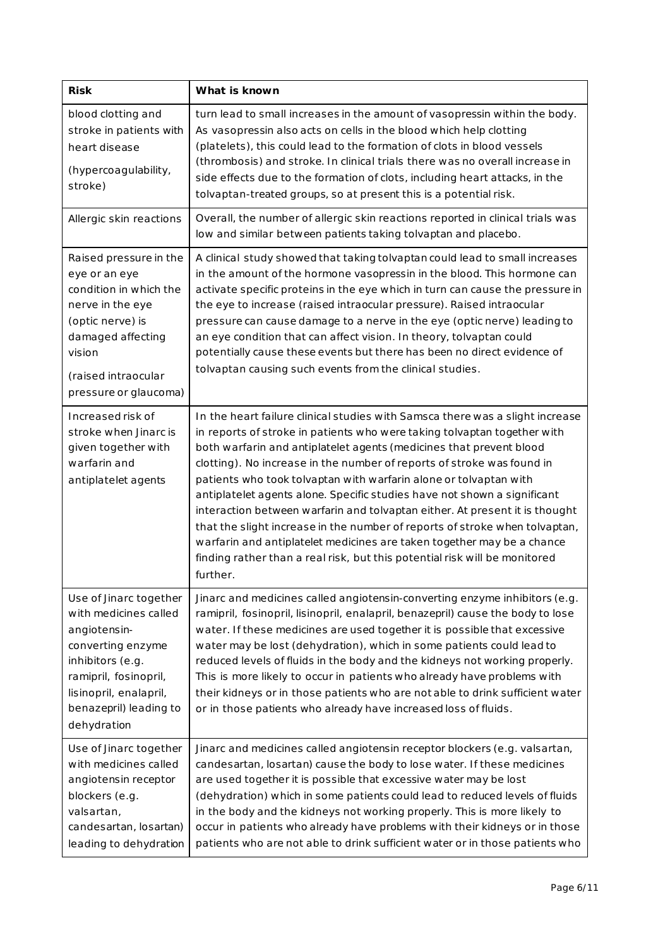| <b>Risk</b>                                                                                                                                                                                          | What is known                                                                                                                                                                                                                                                                                                                                                                                                                                                                                                                                                                                                                                                                                                                                                                                 |
|------------------------------------------------------------------------------------------------------------------------------------------------------------------------------------------------------|-----------------------------------------------------------------------------------------------------------------------------------------------------------------------------------------------------------------------------------------------------------------------------------------------------------------------------------------------------------------------------------------------------------------------------------------------------------------------------------------------------------------------------------------------------------------------------------------------------------------------------------------------------------------------------------------------------------------------------------------------------------------------------------------------|
| blood clotting and<br>stroke in patients with<br>heart disease<br>(hypercoagulability,<br>stroke)                                                                                                    | turn lead to small increases in the amount of vasopressin within the body.<br>As vasopressin also acts on cells in the blood which help clotting<br>(platelets), this could lead to the formation of clots in blood vessels<br>(thrombosis) and stroke. In clinical trials there was no overall increase in<br>side effects due to the formation of clots, including heart attacks, in the<br>tolvaptan-treated groups, so at present this is a potential risk.                                                                                                                                                                                                                                                                                                                               |
| Allergic skin reactions                                                                                                                                                                              | Overall, the number of allergic skin reactions reported in clinical trials was<br>low and similar between patients taking tolvaptan and placebo.                                                                                                                                                                                                                                                                                                                                                                                                                                                                                                                                                                                                                                              |
| Raised pressure in the<br>eye or an eye<br>condition in which the<br>nerve in the eye<br>(optic nerve) is<br>damaged affecting<br>vision<br>(raised intraocular<br>pressure or glaucoma)             | A clinical study showed that taking tolvaptan could lead to small increases<br>in the amount of the hormone vasopressin in the blood. This hormone can<br>activate specific proteins in the eye which in turn can cause the pressure in<br>the eye to increase (raised intraocular pressure). Raised intraocular<br>pressure can cause damage to a nerve in the eye (optic nerve) leading to<br>an eye condition that can affect vision. In theory, tolvaptan could<br>potentially cause these events but there has been no direct evidence of<br>tolvaptan causing such events from the clinical studies.                                                                                                                                                                                    |
| Increased risk of<br>stroke when Jinarc is<br>given together with<br>warfarin and<br>antiplatelet agents                                                                                             | In the heart failure clinical studies with Samsca there was a slight increase<br>in reports of stroke in patients who were taking tolvaptan together with<br>both warfarin and antiplatelet agents (medicines that prevent blood<br>clotting). No increase in the number of reports of stroke was found in<br>patients who took tolvaptan with warfarin alone or tolvaptan with<br>antiplatelet agents alone. Specific studies have not shown a significant<br>interaction between warfarin and tolvaptan either. At present it is thought<br>that the slight increase in the number of reports of stroke when tolvaptan,<br>warfarin and antiplatelet medicines are taken together may be a chance<br>finding rather than a real risk, but this potential risk will be monitored<br>further. |
| Use of Jinarc together<br>with medicines called<br>angiotensin-<br>converting enzyme<br>inhibitors (e.g.<br>ramipril, fosinopril,<br>lisinopril, enalapril,<br>benazepril) leading to<br>dehydration | Jinarc and medicines called angiotensin-converting enzyme inhibitors (e.g.<br>ramipril, fosinopril, lisinopril, enalapril, benazepril) cause the body to lose<br>water. If these medicines are used together it is possible that excessive<br>water may be lost (dehydration), which in some patients could lead to<br>reduced levels of fluids in the body and the kidneys not working properly.<br>This is more likely to occur in patients who already have problems with<br>their kidneys or in those patients who are not able to drink sufficient water<br>or in those patients who already have increased loss of fluids.                                                                                                                                                              |
| Use of Jinarc together<br>with medicines called<br>angiotensin receptor<br>blockers (e.g.<br>valsartan,<br>candesartan, losartan)<br>leading to dehydration                                          | Jinarc and medicines called angiotensin receptor blockers (e.g. valsartan,<br>candesartan, losartan) cause the body to lose water. If these medicines<br>are used together it is possible that excessive water may be lost<br>(dehydration) which in some patients could lead to reduced levels of fluids<br>in the body and the kidneys not working properly. This is more likely to<br>occur in patients who already have problems with their kidneys or in those<br>patients who are not able to drink sufficient water or in those patients who                                                                                                                                                                                                                                           |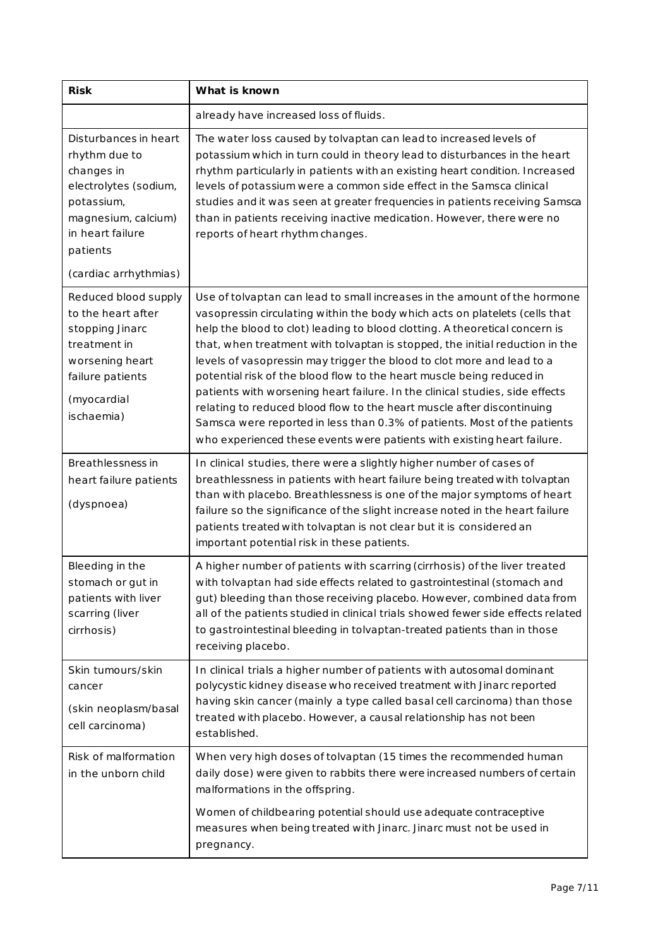| <b>Risk</b>                                                                                                                                                                 | What is known                                                                                                                                                                                                                                                                                                                                                                                                                                                                                                                                                                                                                                                                                                                                                                               |  |  |
|-----------------------------------------------------------------------------------------------------------------------------------------------------------------------------|---------------------------------------------------------------------------------------------------------------------------------------------------------------------------------------------------------------------------------------------------------------------------------------------------------------------------------------------------------------------------------------------------------------------------------------------------------------------------------------------------------------------------------------------------------------------------------------------------------------------------------------------------------------------------------------------------------------------------------------------------------------------------------------------|--|--|
|                                                                                                                                                                             | already have increased loss of fluids.                                                                                                                                                                                                                                                                                                                                                                                                                                                                                                                                                                                                                                                                                                                                                      |  |  |
| Disturbances in heart<br>rhythm due to<br>changes in<br>electrolytes (sodium,<br>potassium,<br>magnesium, calcium)<br>in heart failure<br>patients<br>(cardiac arrhythmias) | The water loss caused by tolvaptan can lead to increased levels of<br>potassium which in turn could in theory lead to disturbances in the heart<br>rhythm particularly in patients with an existing heart condition. Increased<br>levels of potassium were a common side effect in the Samsca clinical<br>studies and it was seen at greater frequencies in patients receiving Samsca<br>than in patients receiving inactive medication. However, there were no<br>reports of heart rhythm changes.                                                                                                                                                                                                                                                                                         |  |  |
| Reduced blood supply<br>to the heart after<br>stopping Jinarc<br>treatment in<br>worsening heart<br>failure patients<br>(myocardial<br>ischaemia)                           | Use of tolvaptan can lead to small increases in the amount of the hormone<br>vasopressin circulating within the body which acts on platelets (cells that<br>help the blood to clot) leading to blood clotting. A theoretical concern is<br>that, when treatment with tolvaptan is stopped, the initial reduction in the<br>levels of vasopressin may trigger the blood to clot more and lead to a<br>potential risk of the blood flow to the heart muscle being reduced in<br>patients with worsening heart failure. In the clinical studies, side effects<br>relating to reduced blood flow to the heart muscle after discontinuing<br>Samsca were reported in less than 0.3% of patients. Most of the patients<br>who experienced these events were patients with existing heart failure. |  |  |
| Breathlessness in<br>heart failure patients<br>(dyspnoea)                                                                                                                   | In clinical studies, there were a slightly higher number of cases of<br>breathlessness in patients with heart failure being treated with tolvaptan<br>than with placebo. Breathlessness is one of the major symptoms of heart<br>failure so the significance of the slight increase noted in the heart failure<br>patients treated with tolvaptan is not clear but it is considered an<br>important potential risk in these patients.                                                                                                                                                                                                                                                                                                                                                       |  |  |
| Bleeding in the<br>stomach or gut in<br>patients with liver<br>scarring (liver<br>cirrhosis)                                                                                | A higher number of patients with scarring (cirrhosis) of the liver treated<br>with tolvaptan had side effects related to gastrointestinal (stomach and<br>gut) bleeding than those receiving placebo. However, combined data from<br>all of the patients studied in clinical trials showed fewer side effects related<br>to gastrointestinal bleeding in tolvaptan-treated patients than in those<br>receiving placebo.                                                                                                                                                                                                                                                                                                                                                                     |  |  |
| Skin tumours/skin<br>cancer<br>(skin neoplasm/basal<br>cell carcinoma)                                                                                                      | In clinical trials a higher number of patients with autosomal dominant<br>polycystic kidney disease who received treatment with Jinarc reported<br>having skin cancer (mainly a type called basal cell carcinoma) than those<br>treated with placebo. However, a causal relationship has not been<br>established.                                                                                                                                                                                                                                                                                                                                                                                                                                                                           |  |  |
| Risk of malformation<br>in the unborn child                                                                                                                                 | When very high doses of tolvaptan (15 times the recommended human<br>daily dose) were given to rabbits there were increased numbers of certain<br>malformations in the offspring.                                                                                                                                                                                                                                                                                                                                                                                                                                                                                                                                                                                                           |  |  |
|                                                                                                                                                                             | Women of childbearing potential should use adequate contraceptive<br>measures when being treated with Jinarc. Jinarc must not be used in<br>pregnancy.                                                                                                                                                                                                                                                                                                                                                                                                                                                                                                                                                                                                                                      |  |  |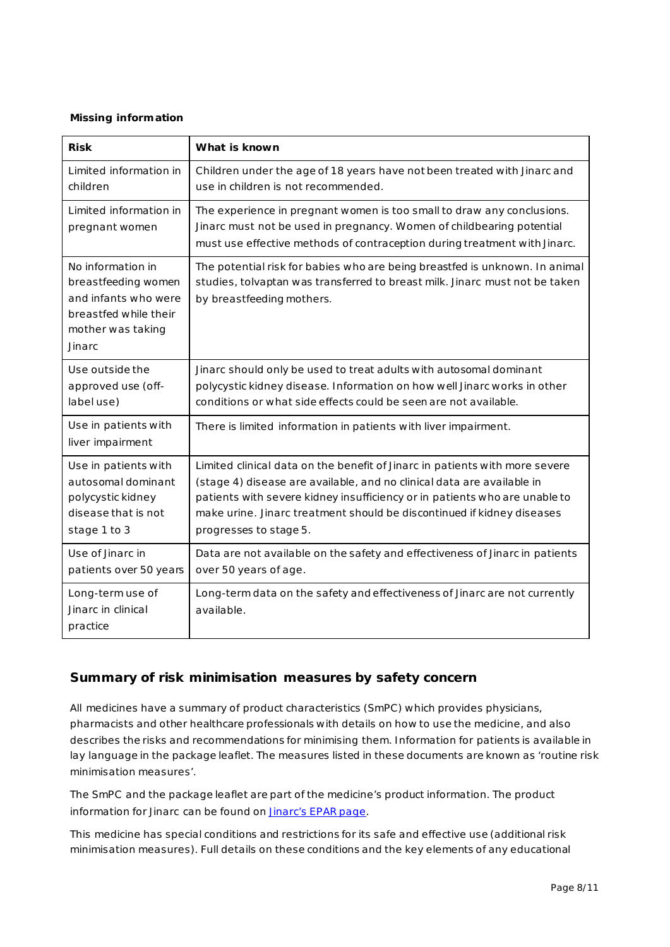### *Missing information*

| <b>Risk</b>                                                                                                              | What is known                                                                                                                                                                                                                                                                                                                           |
|--------------------------------------------------------------------------------------------------------------------------|-----------------------------------------------------------------------------------------------------------------------------------------------------------------------------------------------------------------------------------------------------------------------------------------------------------------------------------------|
| Limited information in<br>children                                                                                       | Children under the age of 18 years have not been treated with Jinarc and<br>use in children is not recommended.                                                                                                                                                                                                                         |
| Limited information in<br>pregnant women                                                                                 | The experience in pregnant women is too small to draw any conclusions.<br>Jinarc must not be used in pregnancy. Women of childbearing potential<br>must use effective methods of contraception during treatment with Jinarc.                                                                                                            |
| No information in<br>breastfeeding women<br>and infants who were<br>breastfed while their<br>mother was taking<br>Jinarc | The potential risk for babies who are being breastfed is unknown. In animal<br>studies, tolvaptan was transferred to breast milk. Jinarc must not be taken<br>by breastfeeding mothers.                                                                                                                                                 |
| Use outside the<br>approved use (off-<br>labeluse)                                                                       | Jinarc should only be used to treat adults with autosomal dominant<br>polycystic kidney disease. Information on how well Jinarc works in other<br>conditions or what side effects could be seen are not available.                                                                                                                      |
| Use in patients with<br>liver impairment                                                                                 | There is limited information in patients with liver impairment.                                                                                                                                                                                                                                                                         |
| Use in patients with<br>autosomal dominant<br>polycystic kidney<br>disease that is not<br>stage 1 to 3                   | Limited clinical data on the benefit of Jinarc in patients with more severe<br>(stage 4) disease are available, and no clinical data are available in<br>patients with severe kidney insufficiency or in patients who are unable to<br>make urine. Jinarc treatment should be discontinued if kidney diseases<br>progresses to stage 5. |
| Use of Jinarc in<br>patients over 50 years                                                                               | Data are not available on the safety and effectiveness of Jinarc in patients<br>over 50 years of age.                                                                                                                                                                                                                                   |
| Long-term use of<br>Jinarc in clinical<br>practice                                                                       | Long-term data on the safety and effectiveness of Jinarc are not currently<br>available.                                                                                                                                                                                                                                                |

## **Summary of risk minimisation measures by safety concern**

All medicines have a summary of product characteristics (SmPC) which provides physicians, pharmacists and other healthcare professionals with details on how to use the medicine, and also describes the risks and recommendations for minimising them. Information for patients is available in lay language in the package leaflet. The measures listed in these documents are known as 'routine risk minimisation measures'.

The SmPC and the package leaflet are part of the medicine's product information. The product information for Jinarc can be found o[n Jinarc's EPAR page.](http://www.ema.europa.eu/ema/index.jsp?curl=pages/medicines/human/medicines/002788/human_med_001857.jsp)

This medicine has special conditions and restrictions for its safe and effective use (additional risk minimisation measures). Full details on these conditions and the key elements of any educational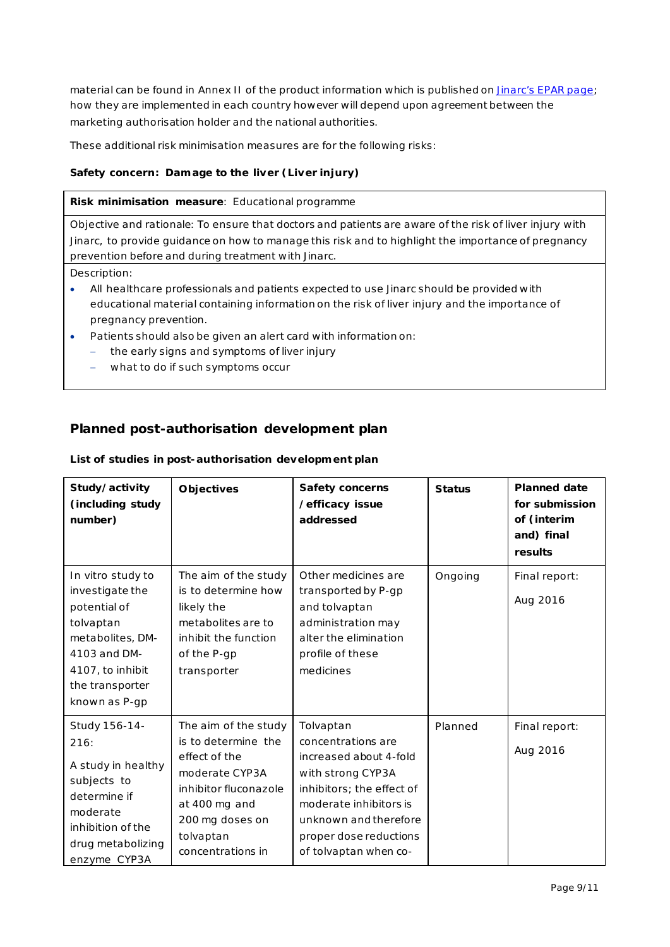material can be found in Annex II of the product information which is published on *Jinarc's EPAR page*; how they are implemented in each country however will depend upon agreement between the marketing authorisation holder and the national authorities.

These additional risk minimisation measures are for the following risks:

### *Safety concern: Damage to the liver (Liver injury)*

#### **Risk minimisation measure**: Educational programme

Objective and rationale: To ensure that doctors and patients are aware of the risk of liver injury with Jinarc, to provide guidance on how to manage this risk and to highlight the importance of pregnancy prevention before and during treatment with Jinarc.

Description:

- All healthcare professionals and patients expected to use Jinarc should be provided with educational material containing information on the risk of liver injury and the importance of pregnancy prevention.
- Patients should also be given an alert card with information on:
	- the early signs and symptoms of liver injury
	- what to do if such symptoms occur

## **Planned post-authorisation development plan**

| Study/activity<br>(including study<br>number)                                                                                                                 | <b>Objectives</b>                                                                                                                                                             | Safety concerns<br>/efficacy issue<br>addressed                                                                                                                                                                   | <b>Status</b> | <b>Planned date</b><br>for submission<br>of (interim<br>and) final<br>results |
|---------------------------------------------------------------------------------------------------------------------------------------------------------------|-------------------------------------------------------------------------------------------------------------------------------------------------------------------------------|-------------------------------------------------------------------------------------------------------------------------------------------------------------------------------------------------------------------|---------------|-------------------------------------------------------------------------------|
| In vitro study to<br>investigate the<br>potential of<br>tolvaptan<br>metabolites, DM-<br>4103 and DM-<br>4107, to inhibit<br>the transporter<br>known as P-gp | The aim of the study<br>is to determine how<br>likely the<br>metabolites are to<br>inhibit the function<br>of the P-gp<br>transporter                                         | Other medicines are<br>transported by P-gp<br>and tolvaptan<br>administration may<br>alter the elimination<br>profile of these<br>medicines                                                                       | Ongoing       | Final report:<br>Aug 2016                                                     |
| Study 156-14-<br>216:<br>A study in healthy<br>subjects to<br>determine if<br>moderate<br>inhibition of the<br>drug metabolizing<br>enzyme CYP3A              | The aim of the study<br>is to determine the<br>effect of the<br>moderate CYP3A<br>inhibitor fluconazole<br>at 400 mg and<br>200 mg doses on<br>tolvaptan<br>concentrations in | Tolvaptan<br>concentrations are<br>increased about 4-fold<br>with strong CYP3A<br>inhibitors; the effect of<br>moderate inhibitors is<br>unknown and therefore<br>proper dose reductions<br>of tolvaptan when co- | Planned       | Final report:<br>Aug 2016                                                     |

#### *List of studies in post-authorisation development plan*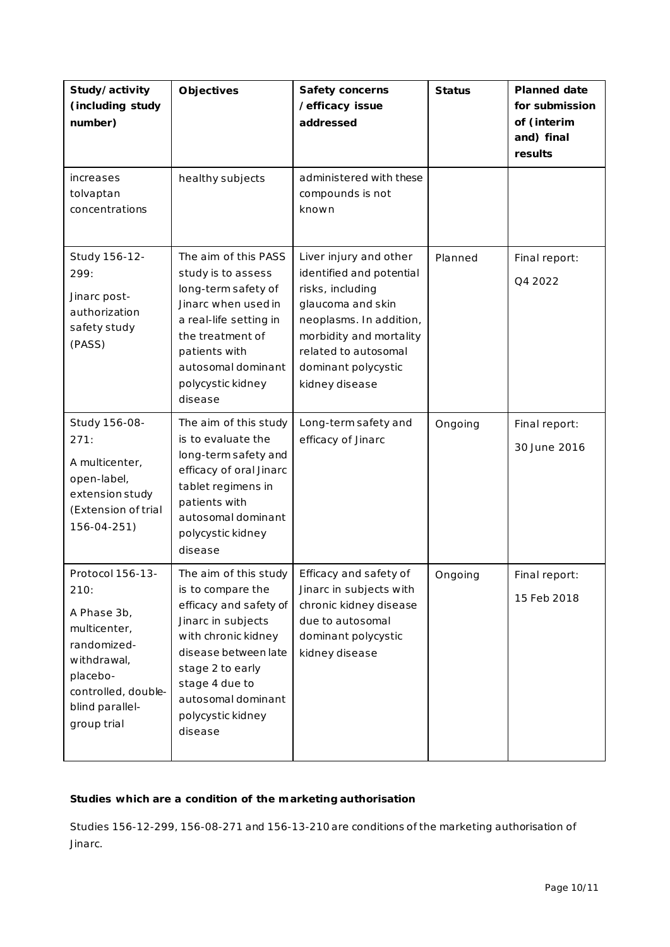| Study/activity<br>(including study<br>number)                                                                                                              | <b>Objectives</b>                                                                                                                                                                                                                     | Safety concerns<br>/efficacy issue<br>addressed                                                                                                                                                                    | <b>Status</b> | <b>Planned date</b><br>for submission<br>of (interim<br>and) final<br>results |
|------------------------------------------------------------------------------------------------------------------------------------------------------------|---------------------------------------------------------------------------------------------------------------------------------------------------------------------------------------------------------------------------------------|--------------------------------------------------------------------------------------------------------------------------------------------------------------------------------------------------------------------|---------------|-------------------------------------------------------------------------------|
| increases<br>tolvaptan<br>concentrations                                                                                                                   | healthy subjects                                                                                                                                                                                                                      | administered with these<br>compounds is not<br>known                                                                                                                                                               |               |                                                                               |
| Study 156-12-<br>299:<br>Jinarc post-<br>authorization<br>safety study<br>(PASS)                                                                           | The aim of this PASS<br>study is to assess<br>long-term safety of<br>Jinarc when used in<br>a real-life setting in<br>the treatment of<br>patients with<br>autosomal dominant<br>polycystic kidney<br>disease                         | Liver injury and other<br>identified and potential<br>risks, including<br>glaucoma and skin<br>neoplasms. In addition,<br>morbidity and mortality<br>related to autosomal<br>dominant polycystic<br>kidney disease | Planned       | Final report:<br>Q4 2022                                                      |
| Study 156-08-<br>271:<br>A multicenter,<br>open-label,<br>extension study<br>(Extension of trial<br>156-04-251)                                            | The aim of this study<br>is to evaluate the<br>long-term safety and<br>efficacy of oral Jinarc<br>tablet regimens in<br>patients with<br>autosomal dominant<br>polycystic kidney<br>disease                                           | Long-term safety and<br>efficacy of Jinarc                                                                                                                                                                         | Ongoing       | Final report:<br>30 June 2016                                                 |
| Protocol 156-13-<br>210:<br>A Phase 3b,<br>multicenter,<br>randomized-<br>withdrawal,<br>placebo-<br>controlled, double-<br>blind parallel-<br>group trial | The aim of this study<br>is to compare the<br>efficacy and safety of<br>Jinarc in subjects<br>with chronic kidney<br>disease between late<br>stage 2 to early<br>stage 4 due to<br>autosomal dominant<br>polycystic kidney<br>disease | Efficacy and safety of<br>Jinarc in subjects with<br>chronic kidney disease<br>due to autosomal<br>dominant polycystic<br>kidney disease                                                                           | Ongoing       | Final report:<br>15 Feb 2018                                                  |

## *Studies which are a condition of the marketing authorisation*

Studies 156-12-299, 156-08-271 and 156-13-210 are conditions of the marketing authorisation of Jinarc.